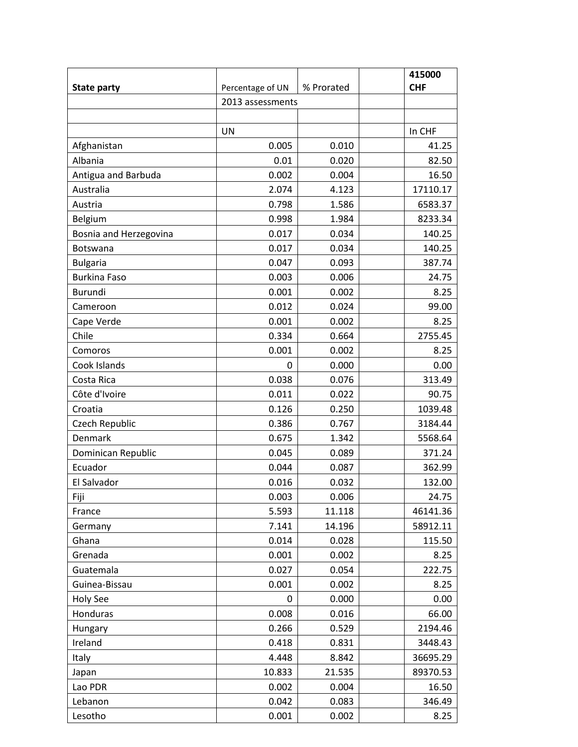|                        |                  |                  | 415000     |  |
|------------------------|------------------|------------------|------------|--|
| <b>State party</b>     | Percentage of UN | % Prorated       | <b>CHF</b> |  |
|                        |                  | 2013 assessments |            |  |
|                        |                  |                  |            |  |
|                        | <b>UN</b>        |                  | In CHF     |  |
| Afghanistan            | 0.005            | 0.010            | 41.25      |  |
| Albania                | 0.01             | 0.020            | 82.50      |  |
| Antigua and Barbuda    | 0.002            | 0.004            | 16.50      |  |
| Australia              | 2.074            | 4.123            | 17110.17   |  |
| Austria                | 0.798            | 1.586            | 6583.37    |  |
| Belgium                | 0.998            | 1.984            | 8233.34    |  |
| Bosnia and Herzegovina | 0.017            | 0.034            | 140.25     |  |
| Botswana               | 0.017            | 0.034            | 140.25     |  |
| <b>Bulgaria</b>        | 0.047            | 0.093            | 387.74     |  |
| <b>Burkina Faso</b>    | 0.003            | 0.006            | 24.75      |  |
| <b>Burundi</b>         | 0.001            | 0.002            | 8.25       |  |
| Cameroon               | 0.012            | 0.024            | 99.00      |  |
| Cape Verde             | 0.001            | 0.002            | 8.25       |  |
| Chile                  | 0.334            | 0.664            | 2755.45    |  |
| Comoros                | 0.001            | 0.002            | 8.25       |  |
| Cook Islands           | $\mathbf{0}$     | 0.000            | 0.00       |  |
| Costa Rica             | 0.038            | 0.076            | 313.49     |  |
| Côte d'Ivoire          | 0.011            | 0.022            | 90.75      |  |
| Croatia                | 0.126            | 0.250            | 1039.48    |  |
| Czech Republic         | 0.386            | 0.767            | 3184.44    |  |
| Denmark                | 0.675            | 1.342            | 5568.64    |  |
| Dominican Republic     | 0.045            | 0.089            | 371.24     |  |
| Ecuador                | 0.044            | 0.087            | 362.99     |  |
| El Salvador            | 0.016            | 0.032            | 132.00     |  |
| Fiji                   | 0.003            | 0.006            | 24.75      |  |
| France                 | 5.593            | 11.118           | 46141.36   |  |
| Germany                | 7.141            | 14.196           | 58912.11   |  |
| Ghana                  | 0.014            | 0.028            | 115.50     |  |
| Grenada                | 0.001            | 0.002            | 8.25       |  |
| Guatemala              | 0.027            | 0.054            | 222.75     |  |
| Guinea-Bissau          | 0.001            | 0.002            | 8.25       |  |
| Holy See               | 0                | 0.000            | 0.00       |  |
| Honduras               | 0.008            | 0.016            | 66.00      |  |
| Hungary                | 0.266            | 0.529            | 2194.46    |  |
| Ireland                | 0.418            | 0.831            | 3448.43    |  |
| Italy                  | 4.448            | 8.842            | 36695.29   |  |
| Japan                  | 10.833           | 21.535           | 89370.53   |  |
| Lao PDR                | 0.002            | 0.004            | 16.50      |  |
| Lebanon                | 0.042            | 0.083            | 346.49     |  |
| Lesotho                | 0.001            | 0.002            | 8.25       |  |